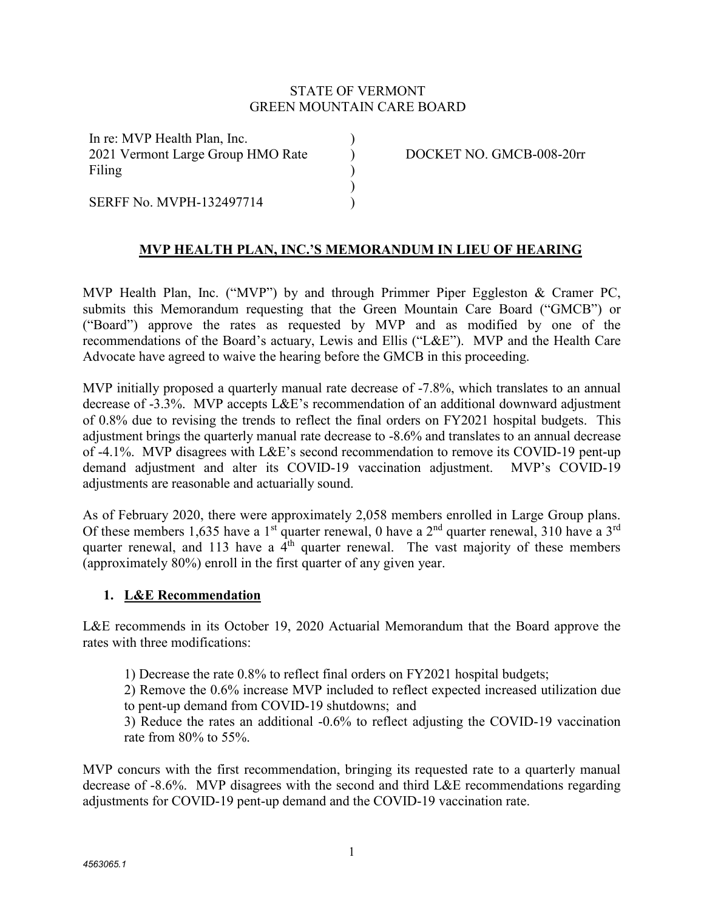#### STATE OF VERMONT GREEN MOUNTAIN CARE BOARD

)  $\mathcal{L}$ ) )  $\lambda$ 

In re: MVP Health Plan, Inc. 2021 Vermont Large Group HMO Rate Filing

SERFF No. MVPH-132497714

DOCKET NO. GMCB-008-20rr

# **MVP HEALTH PLAN, INC.'S MEMORANDUM IN LIEU OF HEARING**

MVP Health Plan, Inc. ("MVP") by and through Primmer Piper Eggleston & Cramer PC, submits this Memorandum requesting that the Green Mountain Care Board ("GMCB") or ("Board") approve the rates as requested by MVP and as modified by one of the recommendations of the Board's actuary, Lewis and Ellis ("L&E"). MVP and the Health Care Advocate have agreed to waive the hearing before the GMCB in this proceeding.

MVP initially proposed a quarterly manual rate decrease of -7.8%, which translates to an annual decrease of -3.3%. MVP accepts L&E's recommendation of an additional downward adjustment of 0.8% due to revising the trends to reflect the final orders on FY2021 hospital budgets. This adjustment brings the quarterly manual rate decrease to -8.6% and translates to an annual decrease of -4.1%. MVP disagrees with L&E's second recommendation to remove its COVID-19 pent-up demand adjustment and alter its COVID-19 vaccination adjustment. MVP's COVID-19 adjustments are reasonable and actuarially sound.

As of February 2020, there were approximately 2,058 members enrolled in Large Group plans. Of these members 1,635 have a 1<sup>st</sup> quarter renewal, 0 have a 2<sup>nd</sup> quarter renewal, 310 have a 3<sup>rd</sup> quarter renewal, and 113 have a  $4<sup>th</sup>$  quarter renewal. The vast majority of these members (approximately 80%) enroll in the first quarter of any given year.

#### **1. L&E Recommendation**

L&E recommends in its October 19, 2020 Actuarial Memorandum that the Board approve the rates with three modifications:

1) Decrease the rate 0.8% to reflect final orders on FY2021 hospital budgets;

2) Remove the 0.6% increase MVP included to reflect expected increased utilization due to pent-up demand from COVID-19 shutdowns; and

3) Reduce the rates an additional -0.6% to reflect adjusting the COVID-19 vaccination rate from 80% to 55%.

MVP concurs with the first recommendation, bringing its requested rate to a quarterly manual decrease of -8.6%. MVP disagrees with the second and third L&E recommendations regarding adjustments for COVID-19 pent-up demand and the COVID-19 vaccination rate.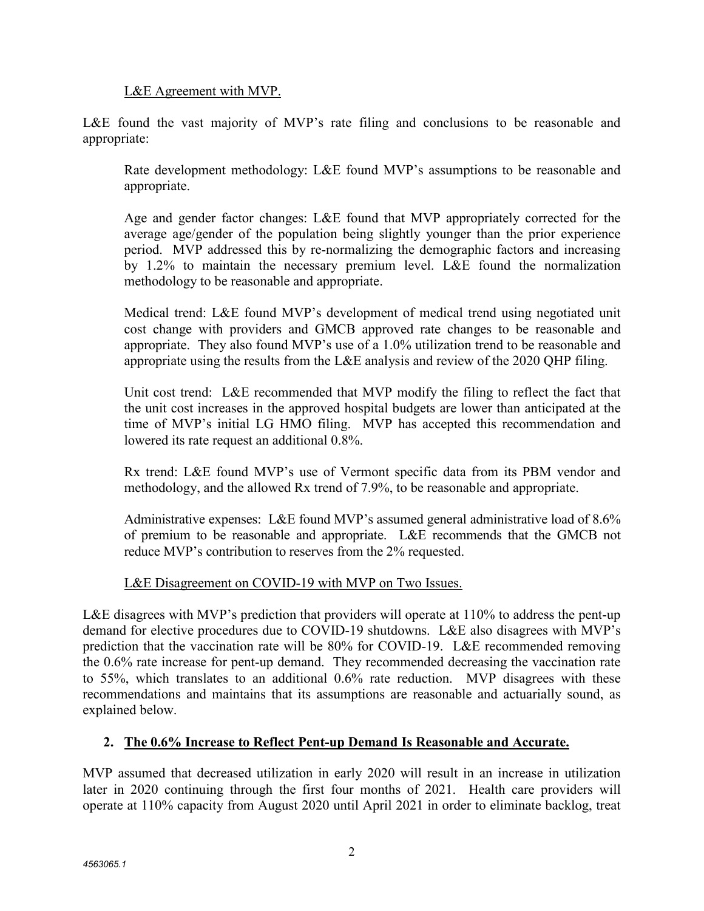L&E Agreement with MVP.

L&E found the vast majority of MVP's rate filing and conclusions to be reasonable and appropriate:

Rate development methodology: L&E found MVP's assumptions to be reasonable and appropriate.

Age and gender factor changes: L&E found that MVP appropriately corrected for the average age/gender of the population being slightly younger than the prior experience period. MVP addressed this by re-normalizing the demographic factors and increasing by 1.2% to maintain the necessary premium level. L&E found the normalization methodology to be reasonable and appropriate.

Medical trend: L&E found MVP's development of medical trend using negotiated unit cost change with providers and GMCB approved rate changes to be reasonable and appropriate. They also found MVP's use of a 1.0% utilization trend to be reasonable and appropriate using the results from the L&E analysis and review of the 2020 QHP filing.

Unit cost trend: L&E recommended that MVP modify the filing to reflect the fact that the unit cost increases in the approved hospital budgets are lower than anticipated at the time of MVP's initial LG HMO filing. MVP has accepted this recommendation and lowered its rate request an additional 0.8%.

Rx trend: L&E found MVP's use of Vermont specific data from its PBM vendor and methodology, and the allowed Rx trend of 7.9%, to be reasonable and appropriate.

Administrative expenses: L&E found MVP's assumed general administrative load of 8.6% of premium to be reasonable and appropriate. L&E recommends that the GMCB not reduce MVP's contribution to reserves from the 2% requested.

## L&E Disagreement on COVID-19 with MVP on Two Issues.

L&E disagrees with MVP's prediction that providers will operate at 110% to address the pent-up demand for elective procedures due to COVID-19 shutdowns. L&E also disagrees with MVP's prediction that the vaccination rate will be 80% for COVID-19. L&E recommended removing the 0.6% rate increase for pent-up demand. They recommended decreasing the vaccination rate to 55%, which translates to an additional 0.6% rate reduction. MVP disagrees with these recommendations and maintains that its assumptions are reasonable and actuarially sound, as explained below.

## **2. The 0.6% Increase to Reflect Pent-up Demand Is Reasonable and Accurate.**

MVP assumed that decreased utilization in early 2020 will result in an increase in utilization later in 2020 continuing through the first four months of 2021. Health care providers will operate at 110% capacity from August 2020 until April 2021 in order to eliminate backlog, treat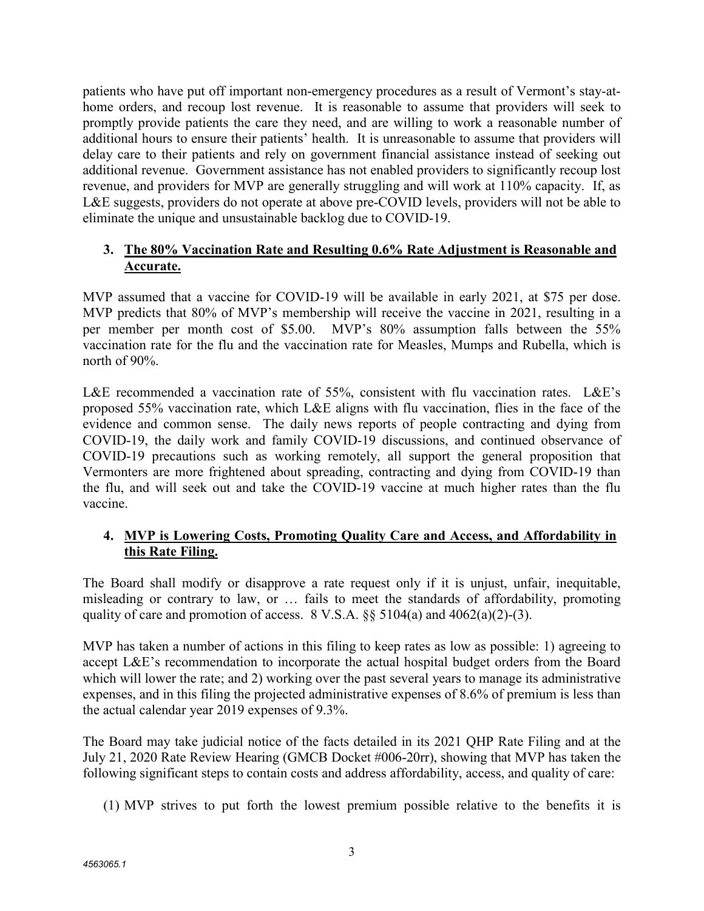patients who have put off important non-emergency procedures as a result of Vermont's stay-athome orders, and recoup lost revenue. It is reasonable to assume that providers will seek to promptly provide patients the care they need, and are willing to work a reasonable number of additional hours to ensure their patients' health. It is unreasonable to assume that providers will delay care to their patients and rely on government financial assistance instead of seeking out additional revenue. Government assistance has not enabled providers to significantly recoup lost revenue, and providers for MVP are generally struggling and will work at 110% capacity. If, as L&E suggests, providers do not operate at above pre-COVID levels, providers will not be able to eliminate the unique and unsustainable backlog due to COVID-19.

## **3. The 80% Vaccination Rate and Resulting 0.6% Rate Adjustment is Reasonable and Accurate.**

MVP assumed that a vaccine for COVID-19 will be available in early 2021, at \$75 per dose. MVP predicts that 80% of MVP's membership will receive the vaccine in 2021, resulting in a per member per month cost of \$5.00. MVP's 80% assumption falls between the 55% vaccination rate for the flu and the vaccination rate for Measles, Mumps and Rubella, which is north of 90%.

L&E recommended a vaccination rate of 55%, consistent with flu vaccination rates. L&E's proposed 55% vaccination rate, which L&E aligns with flu vaccination, flies in the face of the evidence and common sense. The daily news reports of people contracting and dying from COVID-19, the daily work and family COVID-19 discussions, and continued observance of COVID-19 precautions such as working remotely, all support the general proposition that Vermonters are more frightened about spreading, contracting and dying from COVID-19 than the flu, and will seek out and take the COVID-19 vaccine at much higher rates than the flu vaccine.

## **4. MVP is Lowering Costs, Promoting Quality Care and Access, and Affordability in this Rate Filing.**

The Board shall modify or disapprove a rate request only if it is unjust, unfair, inequitable, misleading or contrary to law, or … fails to meet the standards of affordability, promoting quality of care and promotion of access.  $8 \text{ V.S.A.}$   $\S6 \text{ 5104(a) and } 4062(a)(2)-(3)$ .

MVP has taken a number of actions in this filing to keep rates as low as possible: 1) agreeing to accept L&E's recommendation to incorporate the actual hospital budget orders from the Board which will lower the rate; and 2) working over the past several years to manage its administrative expenses, and in this filing the projected administrative expenses of 8.6% of premium is less than the actual calendar year 2019 expenses of 9.3%.

The Board may take judicial notice of the facts detailed in its 2021 QHP Rate Filing and at the July 21, 2020 Rate Review Hearing (GMCB Docket #006-20rr), showing that MVP has taken the following significant steps to contain costs and address affordability, access, and quality of care:

(1) MVP strives to put forth the lowest premium possible relative to the benefits it is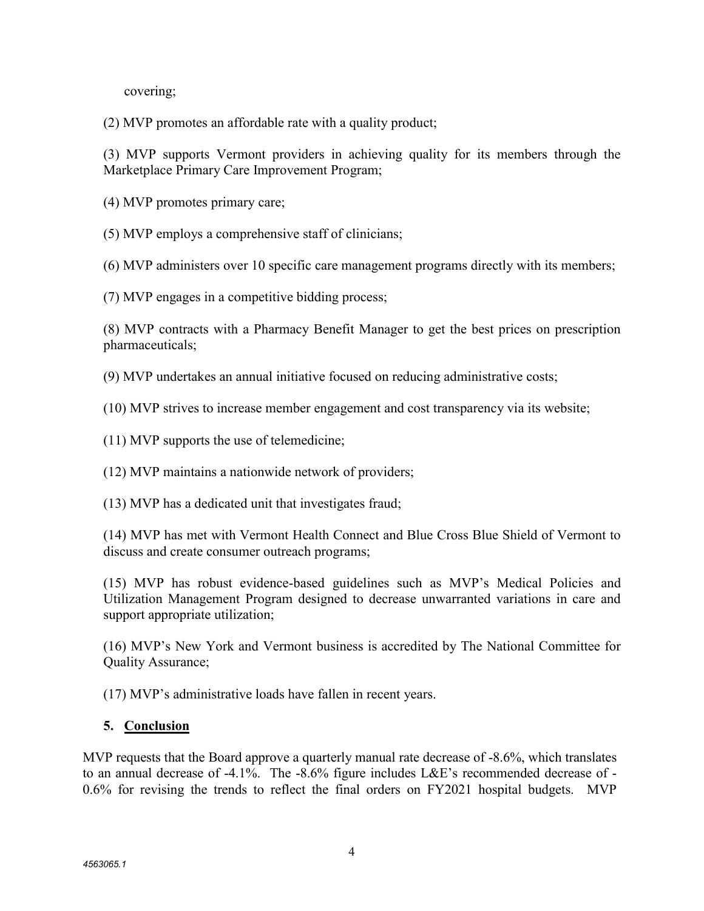covering;

(2) MVP promotes an affordable rate with a quality product;

(3) MVP supports Vermont providers in achieving quality for its members through the Marketplace Primary Care Improvement Program;

- (4) MVP promotes primary care;
- (5) MVP employs a comprehensive staff of clinicians;

(6) MVP administers over 10 specific care management programs directly with its members;

(7) MVP engages in a competitive bidding process;

(8) MVP contracts with a Pharmacy Benefit Manager to get the best prices on prescription pharmaceuticals;

(9) MVP undertakes an annual initiative focused on reducing administrative costs;

(10) MVP strives to increase member engagement and cost transparency via its website;

(11) MVP supports the use of telemedicine;

(12) MVP maintains a nationwide network of providers;

(13) MVP has a dedicated unit that investigates fraud;

(14) MVP has met with Vermont Health Connect and Blue Cross Blue Shield of Vermont to discuss and create consumer outreach programs;

(15) MVP has robust evidence-based guidelines such as MVP's Medical Policies and Utilization Management Program designed to decrease unwarranted variations in care and support appropriate utilization;

(16) MVP's New York and Vermont business is accredited by The National Committee for Quality Assurance;

(17) MVP's administrative loads have fallen in recent years.

## **5. Conclusion**

MVP requests that the Board approve a quarterly manual rate decrease of -8.6%, which translates to an annual decrease of -4.1%. The -8.6% figure includes L&E's recommended decrease of - 0.6% for revising the trends to reflect the final orders on FY2021 hospital budgets. MVP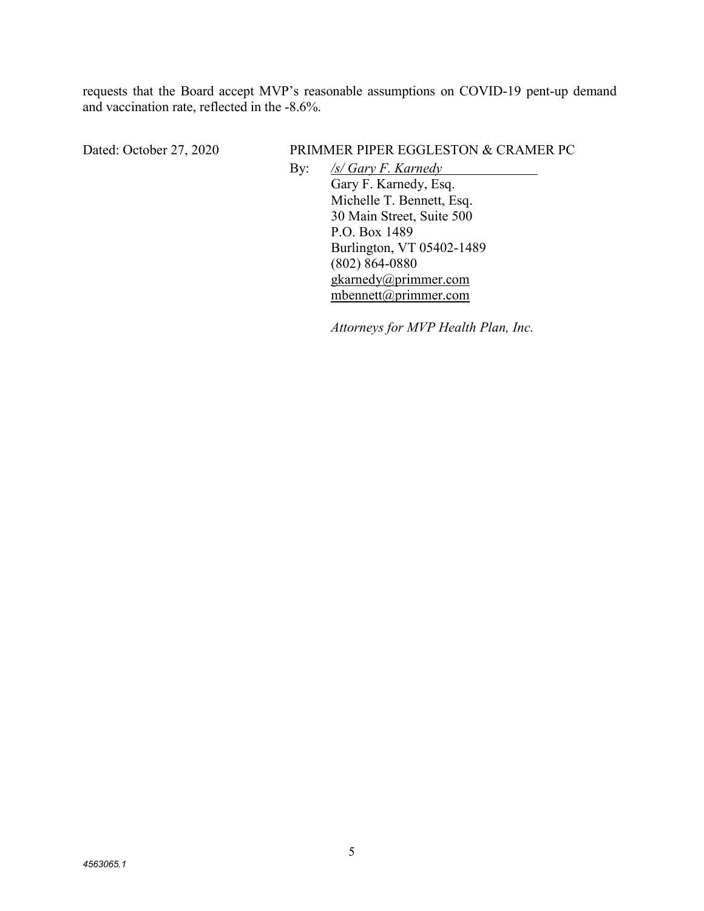requests that the Board accept MVP's reasonable assumptions on COVID-19 pent-up demand and vaccination rate, reflected in the -8.6%.

#### Dated: October 27, 2020 PRIMMER PIPER EGGLESTON & CRAMER PC

By: */s/ Gary F. Karnedy*  Gary F. Karnedy, Esq. Michelle T. Bennett, Esq. 30 Main Street, Suite 500 P.O. Box 1489 Burlington, VT 05402-1489 (802) 864-0880 gkarnedy@primmer.com mbennett@primmer.com

*Attorneys for MVP Health Plan, Inc.*